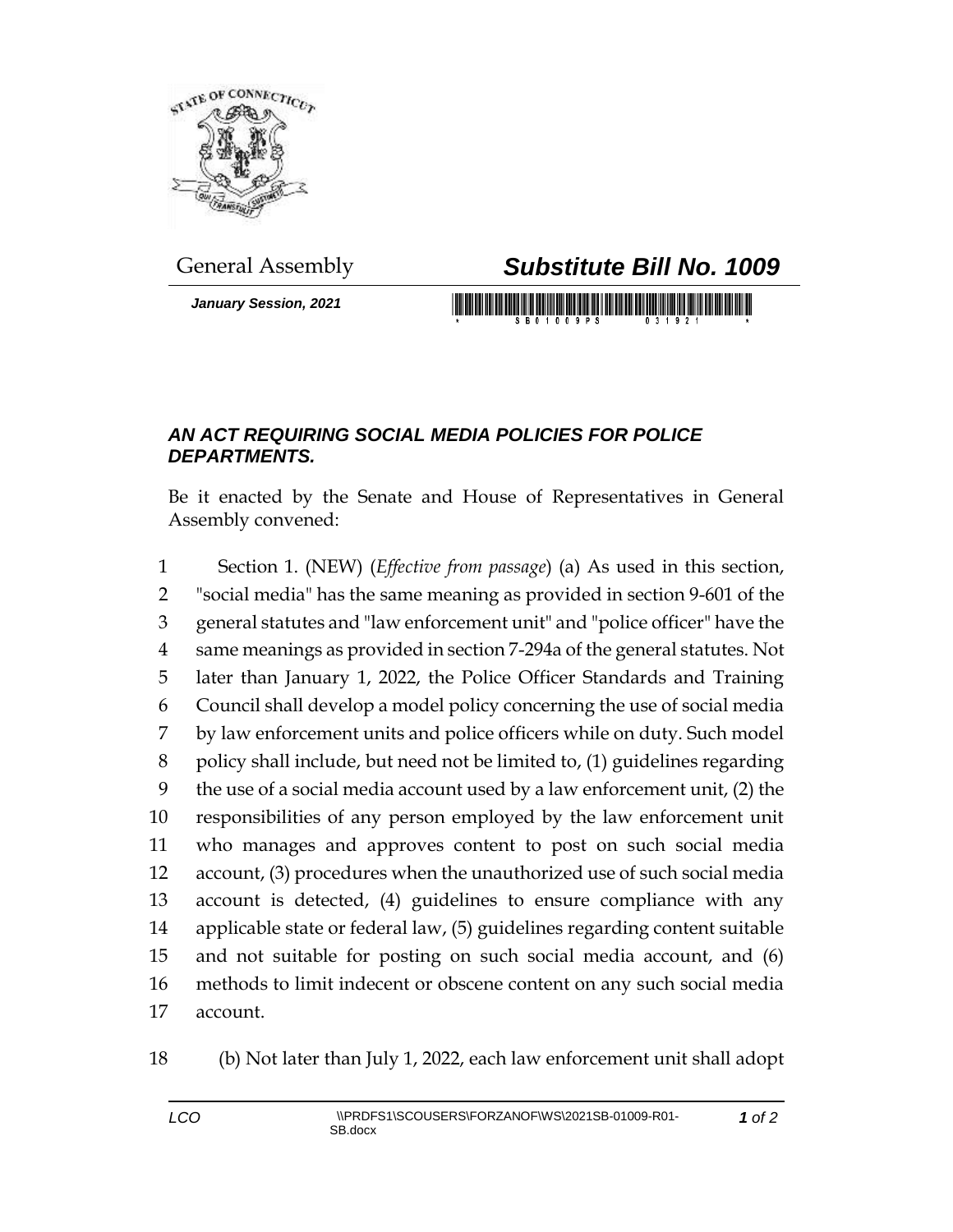

*January Session, 2021*

## General Assembly *Substitute Bill No. 1009*

## *AN ACT REQUIRING SOCIAL MEDIA POLICIES FOR POLICE DEPARTMENTS.*

Be it enacted by the Senate and House of Representatives in General Assembly convened:

 Section 1. (NEW) (*Effective from passage*) (a) As used in this section, "social media" has the same meaning as provided in section 9-601 of the general statutes and "law enforcement unit" and "police officer" have the same meanings as provided in section 7-294a of the general statutes. Not later than January 1, 2022, the Police Officer Standards and Training Council shall develop a model policy concerning the use of social media by law enforcement units and police officers while on duty. Such model policy shall include, but need not be limited to, (1) guidelines regarding the use of a social media account used by a law enforcement unit, (2) the responsibilities of any person employed by the law enforcement unit who manages and approves content to post on such social media account, (3) procedures when the unauthorized use of such social media account is detected, (4) guidelines to ensure compliance with any applicable state or federal law, (5) guidelines regarding content suitable and not suitable for posting on such social media account, and (6) methods to limit indecent or obscene content on any such social media account.

(b) Not later than July 1, 2022, each law enforcement unit shall adopt